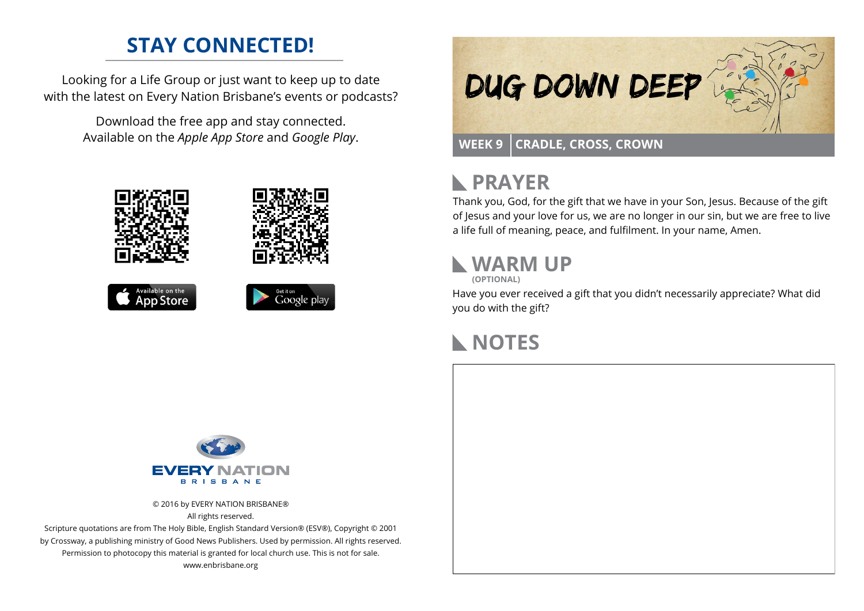## **STAY CONNECTED!**

Looking for a Life Group or just want to keep up to date with the latest on Every Nation Brisbane's events or podcasts?

> Download the free app and stay connected. Available on the *Apple App Store* and *Google Play*.











## **PRAYER**

Thank you, God, for the gift that we have in your Son, Jesus. Because of the gift of Jesus and your love for us, we are no longer in our sin, but we are free to live a life full of meaning, peace, and fulfilment. In your name, Amen.

# **WARM UP**

**(OPTIONAL)**

Have you ever received a gift that you didn't necessarily appreciate? What did you do with the gift?

### **NOTES**



© 2016 by EVERY NATION BRISBANE® All rights reserved.

Scripture quotations are from The Holy Bible, English Standard Version® (ESV®), Copyright © 2001 by Crossway, a publishing ministry of Good News Publishers. Used by permission. All rights reserved. Permission to photocopy this material is granted for local church use. This is not for sale. www.enbrisbane.org